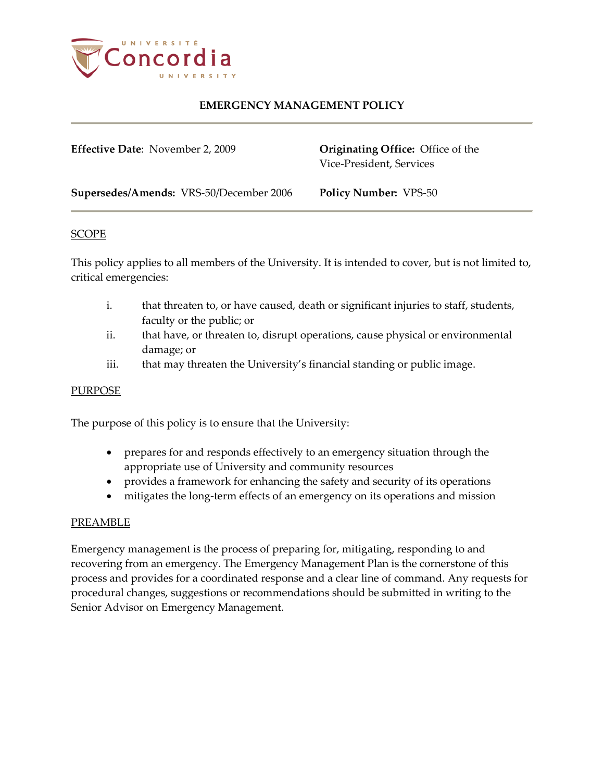

**Effective Date**: November 2, 2009 **Originating Office:** Office of the

Vice-President, Services

**Supersedes/Amends:** VRS-50/December 2006 **Policy Number:** VPS-50

#### SCOPE

This policy applies to all members of the University. It is intended to cover, but is not limited to, critical emergencies:

- i. that threaten to, or have caused, death or significant injuries to staff, students, faculty or the public; or
- ii. that have, or threaten to, disrupt operations, cause physical or environmental damage; or
- iii. that may threaten the University's financial standing or public image.

### **PURPOSE**

The purpose of this policy is to ensure that the University:

- prepares for and responds effectively to an emergency situation through the appropriate use of University and community resources
- provides a framework for enhancing the safety and security of its operations
- mitigates the long-term effects of an emergency on its operations and mission

### PREAMBLE

Emergency management is the process of preparing for, mitigating, responding to and recovering from an emergency. The Emergency Management Plan is the cornerstone of this process and provides for a coordinated response and a clear line of command. Any requests for procedural changes, suggestions or recommendations should be submitted in writing to the Senior Advisor on Emergency Management.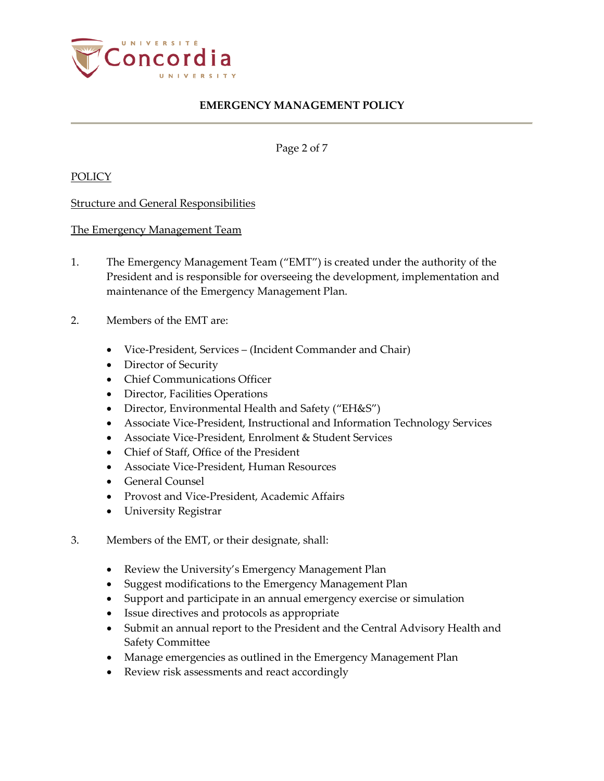

Page 2 of 7

POLICY

Structure and General Responsibilities

The Emergency Management Team

- 1. The Emergency Management Team ("EMT") is created under the authority of the President and is responsible for overseeing the development, implementation and maintenance of the Emergency Management Plan.
- 2. Members of the EMT are:
	- Vice-President, Services (Incident Commander and Chair)
	- Director of Security
	- Chief Communications Officer
	- Director, Facilities Operations
	- Director, Environmental Health and Safety ("EH&S")
	- Associate Vice-President, Instructional and Information Technology Services
	- Associate Vice-President, Enrolment & Student Services
	- Chief of Staff, Office of the President
	- Associate Vice-President, Human Resources
	- General Counsel
	- Provost and Vice-President, Academic Affairs
	- University Registrar
- 3. Members of the EMT, or their designate, shall:
	- Review the University's Emergency Management Plan
	- Suggest modifications to the Emergency Management Plan
	- Support and participate in an annual emergency exercise or simulation
	- Issue directives and protocols as appropriate
	- Submit an annual report to the President and the Central Advisory Health and Safety Committee
	- Manage emergencies as outlined in the Emergency Management Plan
	- Review risk assessments and react accordingly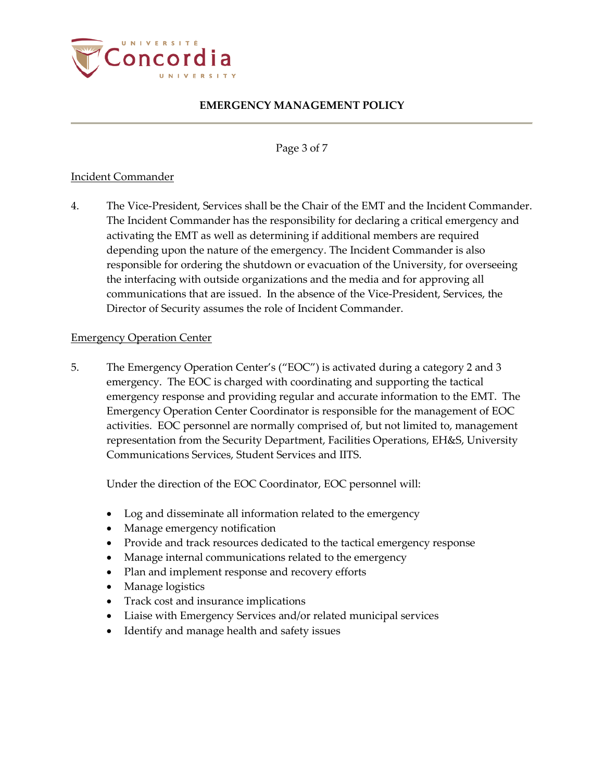

Page 3 of 7

### Incident Commander

4. The Vice-President, Services shall be the Chair of the EMT and the Incident Commander. The Incident Commander has the responsibility for declaring a critical emergency and activating the EMT as well as determining if additional members are required depending upon the nature of the emergency. The Incident Commander is also responsible for ordering the shutdown or evacuation of the University, for overseeing the interfacing with outside organizations and the media and for approving all communications that are issued. In the absence of the Vice-President, Services, the Director of Security assumes the role of Incident Commander.

### Emergency Operation Center

5. The Emergency Operation Center's ("EOC") is activated during a category 2 and 3 emergency. The EOC is charged with coordinating and supporting the tactical emergency response and providing regular and accurate information to the EMT. The Emergency Operation Center Coordinator is responsible for the management of EOC activities. EOC personnel are normally comprised of, but not limited to, management representation from the Security Department, Facilities Operations, EH&S, University Communications Services, Student Services and IITS.

Under the direction of the EOC Coordinator, EOC personnel will:

- Log and disseminate all information related to the emergency
- Manage emergency notification
- Provide and track resources dedicated to the tactical emergency response
- Manage internal communications related to the emergency
- Plan and implement response and recovery efforts
- Manage logistics
- Track cost and insurance implications
- Liaise with Emergency Services and/or related municipal services
- Identify and manage health and safety issues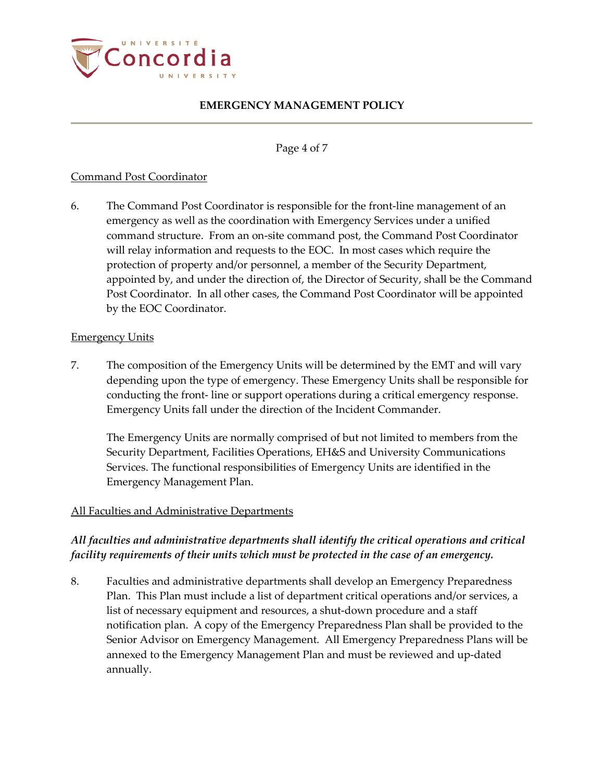

Page 4 of 7

### Command Post Coordinator

6. The Command Post Coordinator is responsible for the front-line management of an emergency as well as the coordination with Emergency Services under a unified command structure. From an on-site command post, the Command Post Coordinator will relay information and requests to the EOC. In most cases which require the protection of property and/or personnel, a member of the Security Department, appointed by, and under the direction of, the Director of Security, shall be the Command Post Coordinator. In all other cases, the Command Post Coordinator will be appointed by the EOC Coordinator.

### Emergency Units

7. The composition of the Emergency Units will be determined by the EMT and will vary depending upon the type of emergency. These Emergency Units shall be responsible for conducting the front- line or support operations during a critical emergency response. Emergency Units fall under the direction of the Incident Commander.

The Emergency Units are normally comprised of but not limited to members from the Security Department, Facilities Operations, EH&S and University Communications Services. The functional responsibilities of Emergency Units are identified in the Emergency Management Plan.

### All Faculties and Administrative Departments

## *All faculties and administrative departments shall identify the critical operations and critical facility requirements of their units which must be protected in the case of an emergency.*

8. Faculties and administrative departments shall develop an Emergency Preparedness Plan. This Plan must include a list of department critical operations and/or services, a list of necessary equipment and resources, a shut-down procedure and a staff notification plan. A copy of the Emergency Preparedness Plan shall be provided to the Senior Advisor on Emergency Management. All Emergency Preparedness Plans will be annexed to the Emergency Management Plan and must be reviewed and up-dated annually.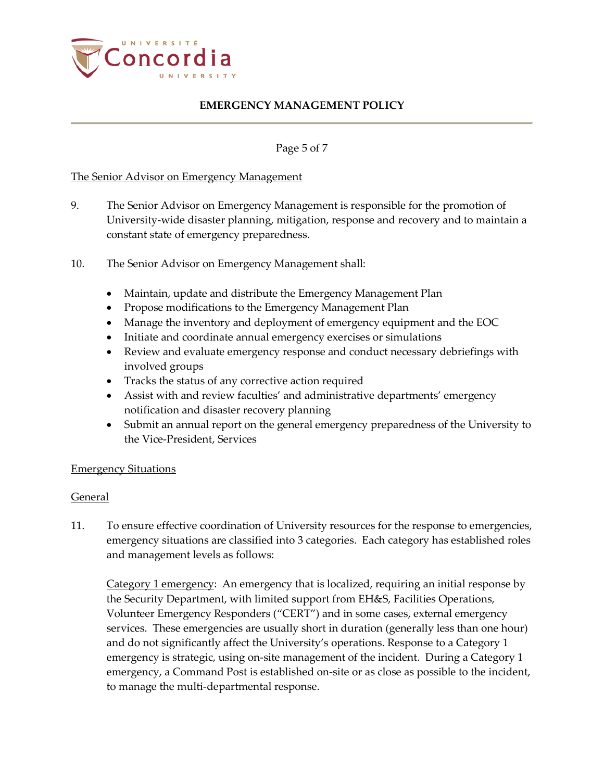

#### Page 5 of 7

#### The Senior Advisor on Emergency Management

- 9. The Senior Advisor on Emergency Management is responsible for the promotion of University-wide disaster planning, mitigation, response and recovery and to maintain a constant state of emergency preparedness.
- 10. The Senior Advisor on Emergency Management shall:
	- Maintain, update and distribute the Emergency Management Plan
	- Propose modifications to the Emergency Management Plan
	- Manage the inventory and deployment of emergency equipment and the EOC
	- Initiate and coordinate annual emergency exercises or simulations
	- Review and evaluate emergency response and conduct necessary debriefings with involved groups
	- Tracks the status of any corrective action required
	- Assist with and review faculties' and administrative departments' emergency notification and disaster recovery planning
	- Submit an annual report on the general emergency preparedness of the University to the Vice-President, Services

### Emergency Situations

#### General

11. To ensure effective coordination of University resources for the response to emergencies, emergency situations are classified into 3 categories. Each category has established roles and management levels as follows:

Category 1 emergency: An emergency that is localized, requiring an initial response by the Security Department, with limited support from EH&S, Facilities Operations, Volunteer Emergency Responders ("CERT") and in some cases, external emergency services. These emergencies are usually short in duration (generally less than one hour) and do not significantly affect the University's operations. Response to a Category 1 emergency is strategic, using on-site management of the incident. During a Category 1 emergency, a Command Post is established on-site or as close as possible to the incident, to manage the multi-departmental response.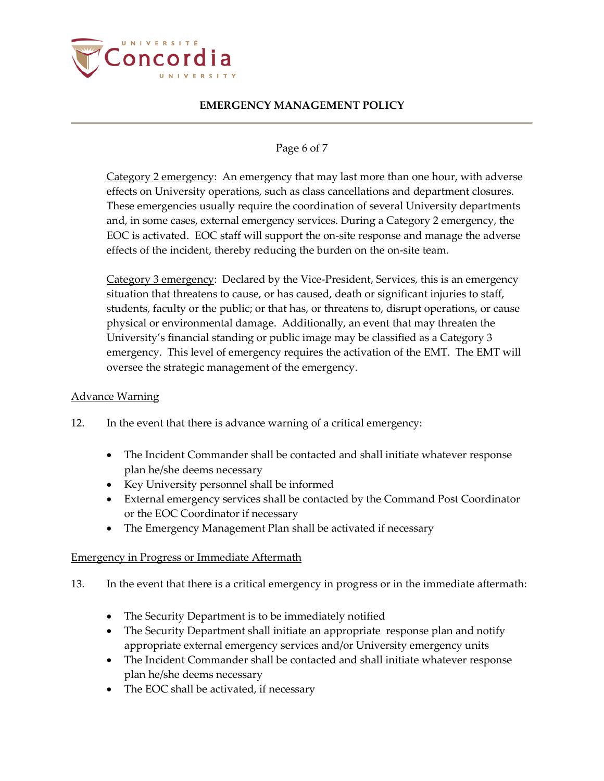

### Page 6 of 7

Category 2 emergency: An emergency that may last more than one hour, with adverse effects on University operations, such as class cancellations and department closures. These emergencies usually require the coordination of several University departments and, in some cases, external emergency services. During a Category 2 emergency, the EOC is activated. EOC staff will support the on-site response and manage the adverse effects of the incident, thereby reducing the burden on the on-site team.

Category 3 emergency: Declared by the Vice-President, Services, this is an emergency situation that threatens to cause, or has caused, death or significant injuries to staff, students, faculty or the public; or that has, or threatens to, disrupt operations, or cause physical or environmental damage. Additionally, an event that may threaten the University's financial standing or public image may be classified as a Category 3 emergency. This level of emergency requires the activation of the EMT. The EMT will oversee the strategic management of the emergency.

## Advance Warning

- 12. In the event that there is advance warning of a critical emergency:
	- The Incident Commander shall be contacted and shall initiate whatever response plan he/she deems necessary
	- Key University personnel shall be informed
	- External emergency services shall be contacted by the Command Post Coordinator or the EOC Coordinator if necessary
	- The Emergency Management Plan shall be activated if necessary

### Emergency in Progress or Immediate Aftermath

- 13. In the event that there is a critical emergency in progress or in the immediate aftermath:
	- The Security Department is to be immediately notified
	- The Security Department shall initiate an appropriate response plan and notify appropriate external emergency services and/or University emergency units
	- The Incident Commander shall be contacted and shall initiate whatever response plan he/she deems necessary
	- The EOC shall be activated, if necessary